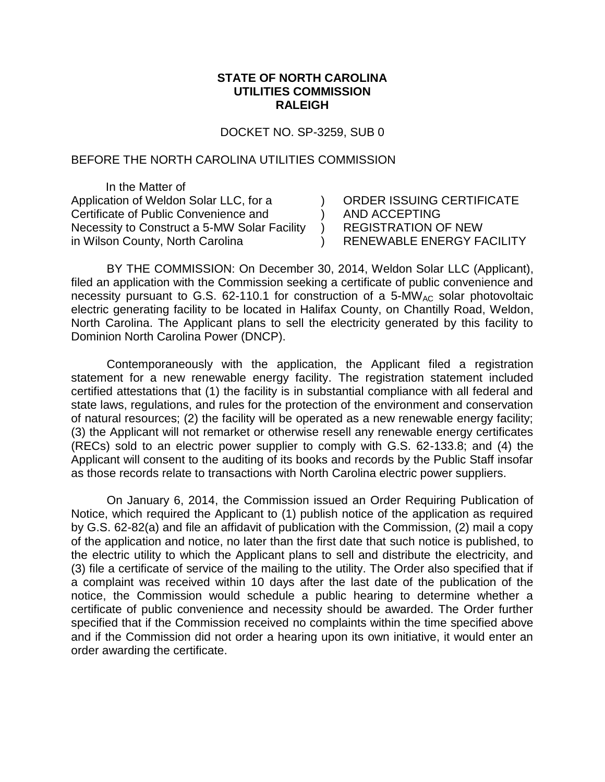## **STATE OF NORTH CAROLINA UTILITIES COMMISSION RALEIGH**

DOCKET NO. SP-3259, SUB 0

) )  $\lambda$  $\lambda$ 

## BEFORE THE NORTH CAROLINA UTILITIES COMMISSION

In the Matter of Application of Weldon Solar LLC, for a Certificate of Public Convenience and Necessity to Construct a 5-MW Solar Facility in Wilson County, North Carolina

ORDER ISSUING CERTIFICATE AND ACCEPTING REGISTRATION OF NEW RENEWABLE ENERGY FACILITY

BY THE COMMISSION: On December 30, 2014, Weldon Solar LLC (Applicant), filed an application with the Commission seeking a certificate of public convenience and necessity pursuant to G.S. 62-110.1 for construction of a 5-MW<sub>AC</sub> solar photovoltaic electric generating facility to be located in Halifax County, on Chantilly Road, Weldon, North Carolina. The Applicant plans to sell the electricity generated by this facility to Dominion North Carolina Power (DNCP).

Contemporaneously with the application, the Applicant filed a registration statement for a new renewable energy facility. The registration statement included certified attestations that (1) the facility is in substantial compliance with all federal and state laws, regulations, and rules for the protection of the environment and conservation of natural resources; (2) the facility will be operated as a new renewable energy facility; (3) the Applicant will not remarket or otherwise resell any renewable energy certificates (RECs) sold to an electric power supplier to comply with G.S. 62-133.8; and (4) the Applicant will consent to the auditing of its books and records by the Public Staff insofar as those records relate to transactions with North Carolina electric power suppliers.

On January 6, 2014, the Commission issued an Order Requiring Publication of Notice, which required the Applicant to (1) publish notice of the application as required by G.S. 62-82(a) and file an affidavit of publication with the Commission, (2) mail a copy of the application and notice, no later than the first date that such notice is published, to the electric utility to which the Applicant plans to sell and distribute the electricity, and (3) file a certificate of service of the mailing to the utility. The Order also specified that if a complaint was received within 10 days after the last date of the publication of the notice, the Commission would schedule a public hearing to determine whether a certificate of public convenience and necessity should be awarded. The Order further specified that if the Commission received no complaints within the time specified above and if the Commission did not order a hearing upon its own initiative, it would enter an order awarding the certificate.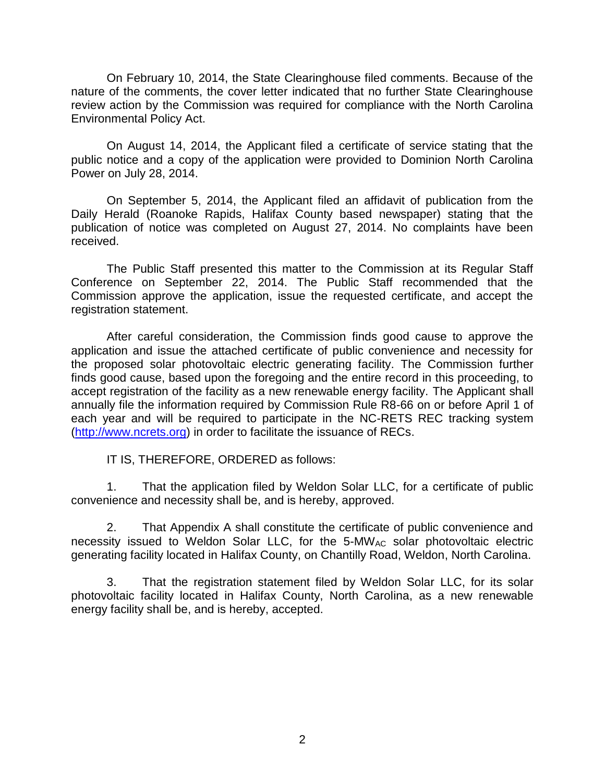On February 10, 2014, the State Clearinghouse filed comments. Because of the nature of the comments, the cover letter indicated that no further State Clearinghouse review action by the Commission was required for compliance with the North Carolina Environmental Policy Act.

On August 14, 2014, the Applicant filed a certificate of service stating that the public notice and a copy of the application were provided to Dominion North Carolina Power on July 28, 2014.

On September 5, 2014, the Applicant filed an affidavit of publication from the Daily Herald (Roanoke Rapids, Halifax County based newspaper) stating that the publication of notice was completed on August 27, 2014. No complaints have been received.

The Public Staff presented this matter to the Commission at its Regular Staff Conference on September 22, 2014. The Public Staff recommended that the Commission approve the application, issue the requested certificate, and accept the registration statement.

After careful consideration, the Commission finds good cause to approve the application and issue the attached certificate of public convenience and necessity for the proposed solar photovoltaic electric generating facility. The Commission further finds good cause, based upon the foregoing and the entire record in this proceeding, to accept registration of the facility as a new renewable energy facility. The Applicant shall annually file the information required by Commission Rule R8-66 on or before April 1 of each year and will be required to participate in the NC-RETS REC tracking system [\(http://www.ncrets.org\)](http://www.ncrets.org/) in order to facilitate the issuance of RECs.

IT IS, THEREFORE, ORDERED as follows:

1. That the application filed by Weldon Solar LLC, for a certificate of public convenience and necessity shall be, and is hereby, approved.

2. That Appendix A shall constitute the certificate of public convenience and necessity issued to Weldon Solar LLC, for the  $5-MW_{AC}$  solar photovoltaic electric generating facility located in Halifax County, on Chantilly Road, Weldon, North Carolina.

3. That the registration statement filed by Weldon Solar LLC, for its solar photovoltaic facility located in Halifax County, North Carolina, as a new renewable energy facility shall be, and is hereby, accepted.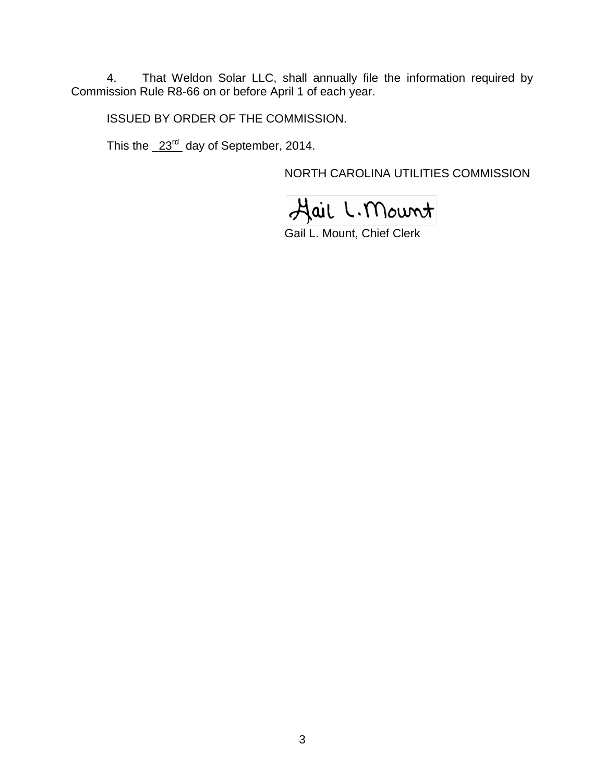4. That Weldon Solar LLC, shall annually file the information required by Commission Rule R8-66 on or before April 1 of each year.

ISSUED BY ORDER OF THE COMMISSION.

This the  $\frac{23^{rd}}{d}$  day of September, 2014.

NORTH CAROLINA UTILITIES COMMISSION

Hail L. Mount

Gail L. Mount, Chief Clerk